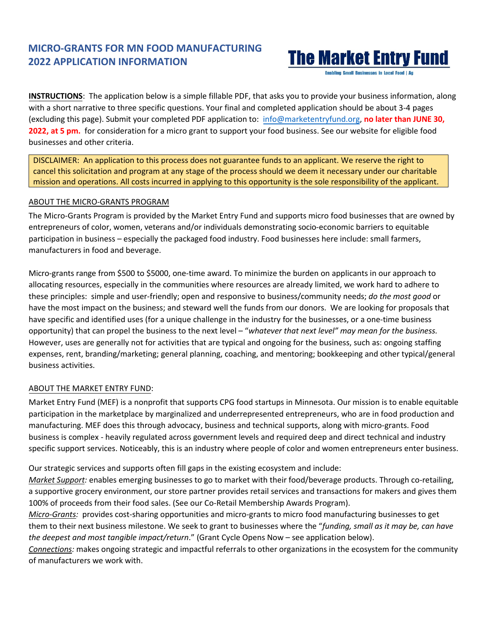## **MICRO-GRANTS FOR MN FOOD MANUFACTURING 2022 APPLICATION INFORMATION**

# **The Market Entry Fund**

**Enabling Small Businesses in Local Food | Ap** 

**INSTRUCTIONS**: The application below is a simple fillable PDF, that asks you to provide your business information, along with a short narrative to three specific questions. Your final and completed application should be about 3-4 pages (excluding this page). Submit your completed PDF application to: [info@marketentryfund.org,](mailto:info@marketentryfund.org) **no later than JUNE 30, 2022, at 5 pm.** for consideration for a micro grant to support your food business. See our website for eligible food businesses and other criteria.

DISCLAIMER: An application to this process does not guarantee funds to an applicant. We reserve the right to cancel this solicitation and program at any stage of the process should we deem it necessary under our charitable mission and operations. All costs incurred in applying to this opportunity is the sole responsibility of the applicant.

#### ABOUT THE MICRO-GRANTS PROGRAM

The Micro-Grants Program is provided by the Market Entry Fund and supports micro food businesses that are owned by entrepreneurs of color, women, veterans and/or individuals demonstrating socio-economic barriers to equitable participation in business – especially the packaged food industry. Food businesses here include: small farmers, manufacturers in food and beverage.

Micro-grants range from \$500 to \$5000, one-time award. To minimize the burden on applicants in our approach to allocating resources, especially in the communities where resources are already limited, we work hard to adhere to these principles: simple and user-friendly; open and responsive to business/community needs; *do the most good* or have the most impact on the business; and steward well the funds from our donors. We are looking for proposals that have specific and identified uses (for a unique challenge in the industry for the businesses, or a one-time business opportunity) that can propel the business to the next level – "*whatever that next level" may mean for the business.*  However, uses are generally not for activities that are typical and ongoing for the business, such as: ongoing staffing expenses, rent, branding/marketing; general planning, coaching, and mentoring; bookkeeping and other typical/general business activities.

#### ABOUT THE MARKET ENTRY FUND:

Market Entry Fund (MEF) is a nonprofit that supports CPG food startups in Minnesota. Our mission is to enable equitable participation in the marketplace by marginalized and underrepresented entrepreneurs, who are in food production and manufacturing. MEF does this through advocacy, business and technical supports, along with micro-grants. Food business is complex - heavily regulated across government levels and required deep and direct technical and industry specific support services. Noticeably, this is an industry where people of color and women entrepreneurs enter business.

Our strategic services and supports often fill gaps in the existing ecosystem and include:

*Market Support:* enables emerging businesses to go to market with their food/beverage products. Through co-retailing, a supportive grocery environment, our store partner provides retail services and transactions for makers and gives them 100% of proceeds from their food sales. (See our Co-Retail Membership Awards Program).

*Micro-Grants:*provides cost-sharing opportunities and micro-grants to micro food manufacturing businesses to get them to their next business milestone. We seek to grant to businesses where the "*funding, small as it may be, can have the deepest and most tangible impact/return*." (Grant Cycle Opens Now – see application below).

*Connections:* makes ongoing strategic and impactful referrals to other organizations in the ecosystem for the community of manufacturers we work with.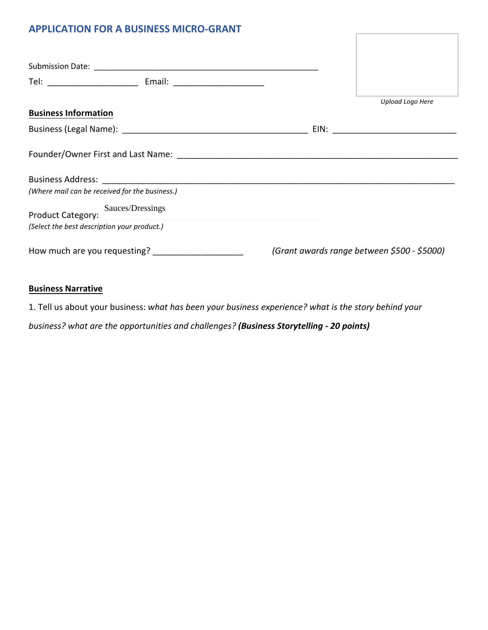### **APPLICATION FOR A BUSINESS MICRO-GRANT**

|                                                | Tel: __________________________________ Email: _________________________________ |                                             |  |
|------------------------------------------------|----------------------------------------------------------------------------------|---------------------------------------------|--|
| <b>Business Information</b>                    |                                                                                  | Upload Logo Here                            |  |
|                                                |                                                                                  |                                             |  |
|                                                |                                                                                  |                                             |  |
|                                                |                                                                                  |                                             |  |
| (Where mail can be received for the business.) |                                                                                  |                                             |  |
|                                                | Product Category: Sauces/Dressings                                               |                                             |  |
| (Select the best description your product.)    |                                                                                  |                                             |  |
| How much are you requesting?                   |                                                                                  | (Grant awards range between \$500 - \$5000) |  |

#### **Business Narrative**

1. Tell us about your business: *what has been your business experience? what is the story behind your*

*business? what are the opportunities and challenges? (Business Storytelling - 20 points)*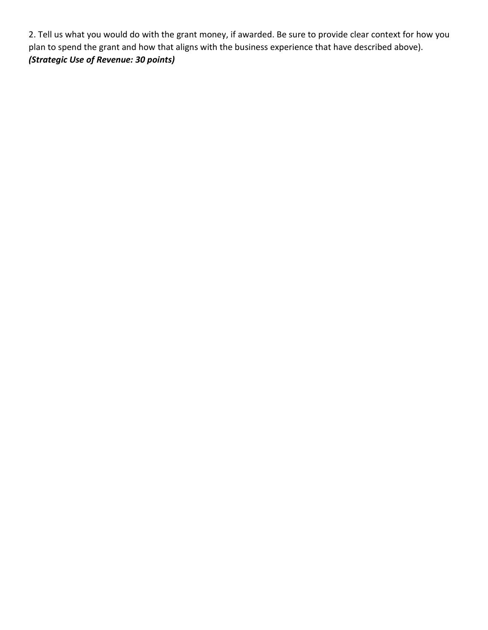2. Tell us what you would do with the grant money, if awarded. Be sure to provide clear context for how you plan to spend the grant and how that aligns with the business experience that have described above). *(Strategic Use of Revenue: 30 points)*